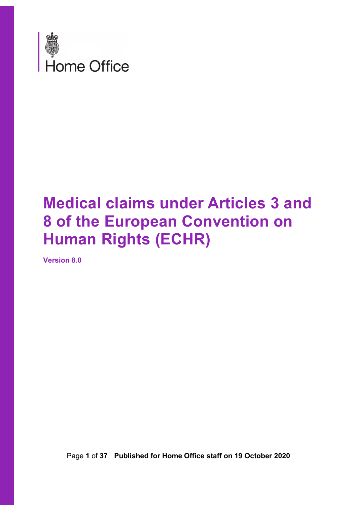

# **Medical claims under Articles 3 and 8 of the European Convention on Human Rights (ECHR)**

**Version 8.0**

Page **1** of **37 Published for Home Office staff on 19 October 2020**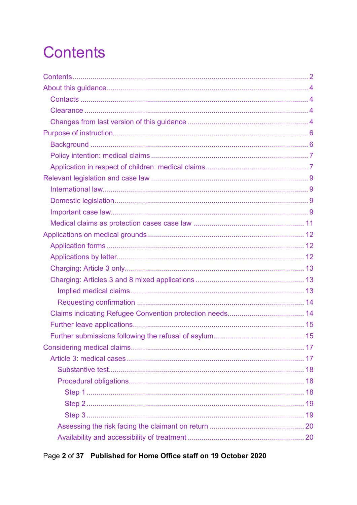# <span id="page-1-0"></span>**Contents**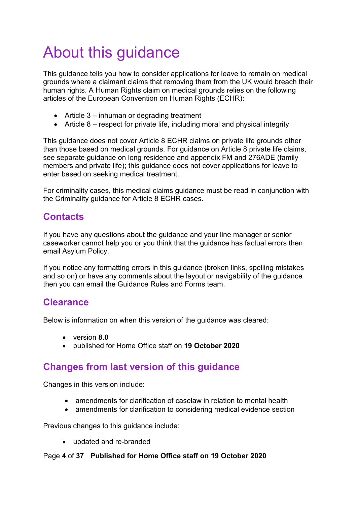# <span id="page-3-0"></span>About this guidance

This guidance tells you how to consider applications for leave to remain on medical grounds where a claimant claims that removing them from the UK would breach their human rights. A Human Rights claim on medical grounds relies on the following articles of the European Convention on Human Rights (ECHR):

- Article 3 inhuman or degrading treatment
- Article 8 respect for private life, including moral and physical integrity

This guidance does not cover Article 8 ECHR claims on private life grounds other than those based on medical grounds. For guidance on Article 8 private life claims, see separate guidance on long residence and appendix FM and 276ADE (family members and private life); this guidance does not cover applications for leave to enter based on seeking medical treatment.

For criminality cases, this medical claims guidance must be read in conjunction with the Criminality guidance for Article 8 ECHR cases.

# <span id="page-3-1"></span>**Contacts**

If you have any questions about the guidance and your line manager or senior caseworker cannot help you or you think that the guidance has factual errors then email Asylum Policy.

If you notice any formatting errors in this guidance (broken links, spelling mistakes and so on) or have any comments about the layout or navigability of the guidance then you can email the Guidance Rules and Forms team.

# <span id="page-3-2"></span>**Clearance**

Below is information on when this version of the guidance was cleared:

- version **8.0**
- published for Home Office staff on **19 October 2020**

# <span id="page-3-3"></span>**Changes from last version of this guidance**

Changes in this version include:

- amendments for clarification of caselaw in relation to mental health
- amendments for clarification to considering medical evidence section

Previous changes to this guidance include:

• updated and re-branded

### Page **4** of **37 Published for Home Office staff on 19 October 2020**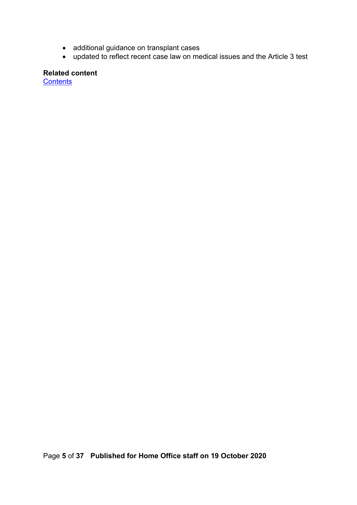- additional guidance on transplant cases
- updated to reflect recent case law on medical issues and the Article 3 test

**Related content**

**[Contents](#page-1-0)**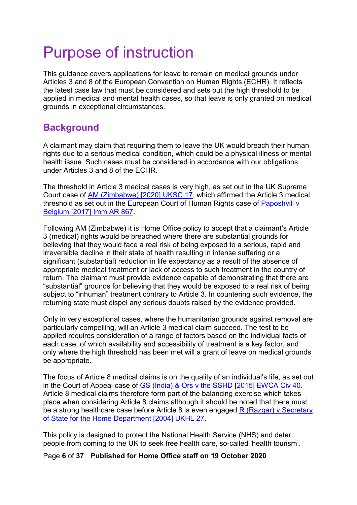# <span id="page-5-0"></span>Purpose of instruction

This guidance covers applications for leave to remain on medical grounds under Articles 3 and 8 of the European Convention on Human Rights (ECHR). It reflects the latest case law that must be considered and sets out the high threshold to be applied in medical and mental health cases, so that leave is only granted on medical grounds in exceptional circumstances.

# <span id="page-5-1"></span>**Background**

A claimant may claim that requiring them to leave the UK would breach their human rights due to a serious medical condition, which could be a physical illness or mental health issue. Such cases must be considered in accordance with our obligations under Articles 3 and 8 of the ECHR.

The threshold in Article 3 medical cases is very high, as set out in the UK Supreme Court case of [AM \(Zimbabwe\) \[2020\] UKSC 17,](https://www.supremecourt.uk/cases/docs/uksc-2018-0048-judgment.pdf) which affirmed the Article 3 medical threshold as set out in the European Court of Human Rights case of [Paposhvili v](https://www.refworld.org/cases,ECHR,5859459b4.html)  [Belgium \[2017\] Imm AR 867.](https://www.refworld.org/cases,ECHR,5859459b4.html)

Following AM (Zimbabwe) it is Home Office policy to accept that a claimant's Article 3 (medical) rights would be breached where there are substantial grounds for believing that they would face a real risk of being exposed to a serious, rapid and irreversible decline in their state of health resulting in intense suffering or a significant (substantial) reduction in life expectancy as a result of the absence of appropriate medical treatment or lack of access to such treatment in the country of return. The claimant must provide evidence capable of demonstrating that there are "substantial" grounds for believing that they would be exposed to a real risk of being subject to "inhuman" treatment contrary to Article 3. In countering such evidence, the returning state must dispel any serious doubts raised by the evidence provided.

Only in very exceptional cases, where the humanitarian grounds against removal are particularly compelling, will an Article 3 medical claim succeed. The test to be applied requires consideration of a range of factors based on the individual facts of each case, of which availability and accessibility of treatment is a key factor, and only where the high threshold has been met will a grant of leave on medical grounds be appropriate.

The focus of Article 8 medical claims is on the quality of an individual's life, as set out in the Court of Appeal case of [GS \(India\) & Ors v the SSHD \[2015\] EWCA Civ 40.](http://www.bailii.org/ew/cases/EWCA/Civ/2015/40.html) Article 8 medical claims therefore form part of the balancing exercise which takes place when considering Article 8 claims although it should be noted that there must be a strong healthcare case before Article 8 is even engaged R (Razgar) v Secretary [of State for the Home Department](http://www.bailii.org/uk/cases/UKHL/2004/27.html) [2004] UKHL 27.

This policy is designed to protect the National Health Service (NHS) and deter people from coming to the UK to seek free health care, so-called 'health tourism'.

### Page **6** of **37 Published for Home Office staff on 19 October 2020**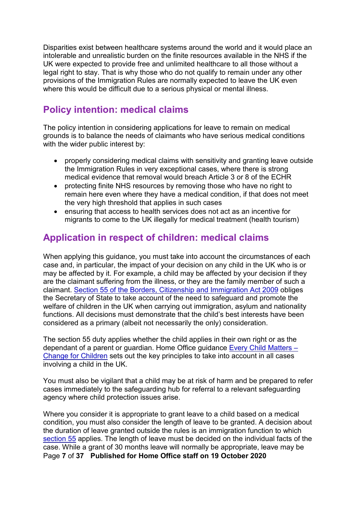Disparities exist between healthcare systems around the world and it would place an intolerable and unrealistic burden on the finite resources available in the NHS if the UK were expected to provide free and unlimited healthcare to all those without a legal right to stay. That is why those who do not qualify to remain under any other provisions of the Immigration Rules are normally expected to leave the UK even where this would be difficult due to a serious physical or mental illness.

# <span id="page-6-0"></span>**Policy intention: medical claims**

The policy intention in considering applications for leave to remain on medical grounds is to balance the needs of claimants who have serious medical conditions with the wider public interest by:

- properly considering medical claims with sensitivity and granting leave outside the Immigration Rules in very exceptional cases, where there is strong medical evidence that removal would breach Article 3 or 8 of the ECHR
- protecting finite NHS resources by removing those who have no right to remain here even where they have a medical condition, if that does not meet the very high threshold that applies in such cases
- ensuring that access to health services does not act as an incentive for migrants to come to the UK illegally for medical treatment (health tourism)

# <span id="page-6-1"></span>**Application in respect of children: medical claims**

When applying this guidance, you must take into account the circumstances of each case and, in particular, the impact of your decision on any child in the UK who is or may be affected by it. For example, a child may be affected by your decision if they are the claimant suffering from the illness, or they are the family member of such a claimant. [Section 55 of the Borders, Citizenship and Immigration Act 2009](http://www.legislation.gov.uk/ukpga/2009/11/section/55) obliges the Secretary of State to take account of the need to safeguard and promote the welfare of children in the UK when carrying out immigration, asylum and nationality functions. All decisions must demonstrate that the child's best interests have been considered as a primary (albeit not necessarily the only) consideration.

The section 55 duty applies whether the child applies in their own right or as the dependant of a parent or guardian. Home Office guidance [Every Child Matters –](https://www.gov.uk/government/publications/every-child-matters-statutory-guidance) [Change for Children](https://www.gov.uk/government/publications/every-child-matters-statutory-guidance) sets out the key principles to take into account in all cases involving a child in the UK.

You must also be vigilant that a child may be at risk of harm and be prepared to refer cases immediately to the safeguarding hub for referral to a relevant safeguarding agency where child protection issues arise.

Page **7** of **37 Published for Home Office staff on 19 October 2020** Where you consider it is appropriate to grant leave to a child based on a medical condition, you must also consider the length of leave to be granted. A decision about the duration of leave granted outside the rules is an immigration function to which [section 55](http://www.legislation.gov.uk/ukpga/2009/11/section/55) applies. The length of leave must be decided on the individual facts of the case. While a grant of 30 months leave will normally be appropriate, leave may be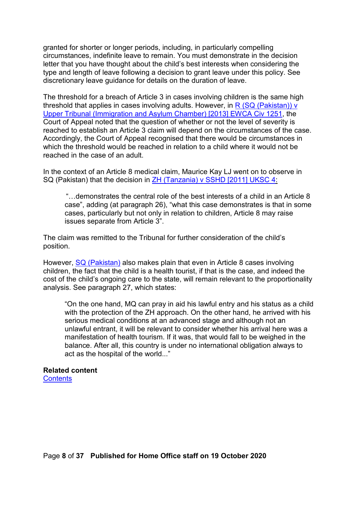granted for shorter or longer periods, including, in particularly compelling circumstances, indefinite leave to remain. You must demonstrate in the decision letter that you have thought about the child's best interests when considering the type and length of leave following a decision to grant leave under this policy. See discretionary leave guidance for details on the duration of leave.

The threshold for a breach of Article 3 in cases involving children is the same high threshold that applies in cases involving adults. However, in R (SQ (Pakistan)) v [Upper Tribunal \(Immigration and Asylum Chamber\) \[2013\] EWCA Civ 1251,](http://www.bailii.org/ew/cases/EWCA/Civ/2013/1251.html) the Court of Appeal noted that the question of whether or not the level of severity is reached to establish an Article 3 claim will depend on the circumstances of the case. Accordingly, the Court of Appeal recognised that there would be circumstances in which the threshold would be reached in relation to a child where it would not be reached in the case of an adult.

In the context of an Article 8 medical claim, Maurice Kay LJ went on to observe in SQ (Pakistan) that the decision in [ZH \(Tanzania\) v SSHD \[2011\] UKSC 4:](http://www.bailii.org/uk/cases/UKSC/2011/4.html)

"…demonstrates the central role of the best interests of a child in an Article 8 case", adding (at paragraph 26), "what this case demonstrates is that in some cases, particularly but not only in relation to children, Article 8 may raise issues separate from Article 3".

The claim was remitted to the Tribunal for further consideration of the child's position.

However, [SQ \(Pakistan\)](http://www.bailii.org/ew/cases/EWCA/Civ/2013/1251.html) also makes plain that even in Article 8 cases involving children, the fact that the child is a health tourist, if that is the case, and indeed the cost of the child's ongoing care to the state, will remain relevant to the proportionality analysis. See paragraph 27, which states:

"On the one hand, MQ can pray in aid his lawful entry and his status as a child with the protection of the ZH approach. On the other hand, he arrived with his serious medical conditions at an advanced stage and although not an unlawful entrant, it will be relevant to consider whether his arrival here was a manifestation of health tourism. If it was, that would fall to be weighed in the balance. After all, this country is under no international obligation always to act as the hospital of the world..."

# **Related content**

**[Contents](#page-1-0)**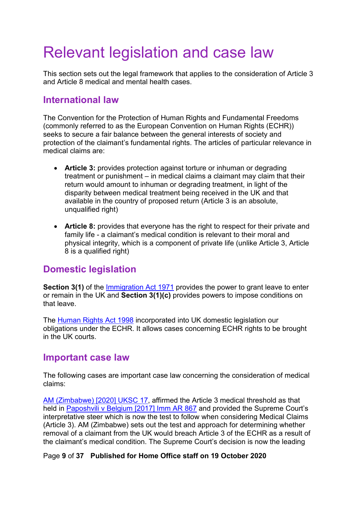# <span id="page-8-0"></span>Relevant legislation and case law

This section sets out the legal framework that applies to the consideration of Article 3 and Article 8 medical and mental health cases.

## <span id="page-8-1"></span>**International law**

The Convention for the Protection of Human Rights and Fundamental Freedoms (commonly referred to as the European Convention on Human Rights (ECHR)) seeks to secure a fair balance between the general interests of society and protection of the claimant's fundamental rights. The articles of particular relevance in medical claims are:

- **Article 3:** provides protection against torture or inhuman or degrading treatment or punishment – in medical claims a claimant may claim that their return would amount to inhuman or degrading treatment, in light of the disparity between medical treatment being received in the UK and that available in the country of proposed return (Article 3 is an absolute, unqualified right)
- **Article 8:** provides that everyone has the right to respect for their private and family life - a claimant's medical condition is relevant to their moral and physical integrity, which is a component of private life (unlike Article 3, Article 8 is a qualified right)

## <span id="page-8-2"></span>**Domestic legislation**

**Section 3(1)** of the [Immigration Act 1971](https://www.legislation.gov.uk/ukpga/1971/77/contents) provides the power to grant leave to enter or remain in the UK and **Section 3(1)(c)** provides powers to impose conditions on that leave.

The [Human Rights Act 1998](http://www.legislation.gov.uk/ukpga/1998/42/schedule/1) incorporated into UK domestic legislation our obligations under the ECHR. It allows cases concerning ECHR rights to be brought in the UK courts.

## <span id="page-8-3"></span>**Important case law**

The following cases are important case law concerning the consideration of medical claims:

[AM \(Zimbabwe\) \[2020\] UKSC 17,](https://www.supremecourt.uk/cases/docs/uksc-2018-0048-judgment.pdf) affirmed the Article 3 medical threshold as that held in [Paposhvili v Belgium \[2017\] Imm AR 867](https://www.refworld.org/cases,ECHR,5859459b4.html) and provided the Supreme Court's interpretative steer which is now the test to follow when considering Medical Claims (Article 3). AM (Zimbabwe) sets out the test and approach for determining whether removal of a claimant from the UK would breach Article 3 of the ECHR as a result of the claimant's medical condition. The Supreme Court's decision is now the leading

### Page **9** of **37 Published for Home Office staff on 19 October 2020**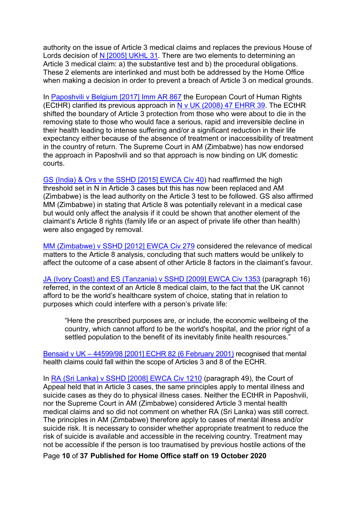authority on the issue of Article 3 medical claims and replaces the previous House of Lords decision of [N \[2005\] UKHL 31.](https://publications.parliament.uk/pa/ld200405/ldjudgmt/jd050505/home-1.htm) There are two elements to determining an Article 3 medical claim: a) the substantive test and b) the procedural obligations. These 2 elements are interlinked and must both be addressed by the Home Office when making a decision in order to prevent a breach of Article 3 on medical grounds.

In [Paposhvili v Belgium \[2017\] Imm AR 867](https://www.refworld.org/cases,ECHR,5859459b4.html) the European Court of Human Rights (ECtHR) clarified its previous approach in [N v UK \(2008\) 47 EHRR 39.](http://www.bailii.org/eu/cases/ECHR/2008/453.html) The ECtHR shifted the boundary of Article 3 protection from those who were about to die in the removing state to those who would face a serious, rapid and irreversible decline in their health leading to intense suffering and/or a significant reduction in their life expectancy either because of the absence of treatment or inaccessibility of treatment in the country of return. The Supreme Court in AM (Zimbabwe) has now endorsed the approach in Paposhvili and so that approach is now binding on UK domestic courts.

[GS \(India\) & Ors v the SSHD \[2015\] EWCA Civ 40\)](http://www.bailii.org/ew/cases/EWCA/Civ/2015/40.html) had reaffirmed the high threshold set in N in Article 3 cases but this has now been replaced and AM (Zimbabwe) is the lead authority on the Article 3 test to be followed. GS also affirmed MM (Zimbabwe) in stating that Article 8 was potentially relevant in a medical case but would only affect the analysis if it could be shown that another element of the claimant's Article 8 rights (family life or an aspect of private life other than health) were also engaged by removal.

[MM \(Zimbabwe\) v SSHD \[2012\] EWCA Civ 279](http://www.bailii.org/ew/cases/EWCA/Civ/2012/279.html) considered the relevance of medical matters to the Article 8 analysis, concluding that such matters would be unlikely to affect the outcome of a case absent of other Article 8 factors in the claimant's favour.

[JA \(Ivory Coast\) and ES \(Tanzania\) v SSHD \[2009\] EWCA Civ 1353](https://www.bailii.org/ew/cases/EWCA/Civ/2009/1353.html) (paragraph 16) referred, in the context of an Article 8 medical claim, to the fact that the UK cannot afford to be the world's healthcare system of choice, stating that in relation to purposes which could interfere with a person's private life:

"Here the prescribed purposes are, or include, the economic wellbeing of the country, which cannot afford to be the world's hospital, and the prior right of a settled population to the benefit of its inevitably finite health resources."

Bensaid v UK – [44599/98 \[2001\] ECHR 82 \(6 February 2001\)](http://www.bailii.org/cgi-bin/markup.cgi?doc=/eu/cases/ECHR/2001/82.html&query=bensaid&method=boolean) recognised that mental health claims could fall within the scope of Articles 3 and 8 of the ECHR.

In [RA \(Sri Lanka\) v SSHD](https://www.bailii.org/ew/cases/EWCA/Civ/2008/1210.html) [2008] EWCA Civ 1210 (paragraph 49), the Court of Appeal held that in Article 3 cases, the same principles apply to mental illness and suicide cases as they do to physical illness cases. Neither the ECtHR in Paposhvili, nor the Supreme Court in AM (Zimbabwe) considered Article 3 mental health medical claims and so did not comment on whether RA (Sri Lanka) was still correct. The principles in AM (Zimbabwe) therefore apply to cases of mental illness and/or suicide risk. It is necessary to consider whether appropriate treatment to reduce the risk of suicide is available and accessible in the receiving country. Treatment may not be accessible if the person is too traumatised by previous hostile actions of the

Page **10** of **37 Published for Home Office staff on 19 October 2020**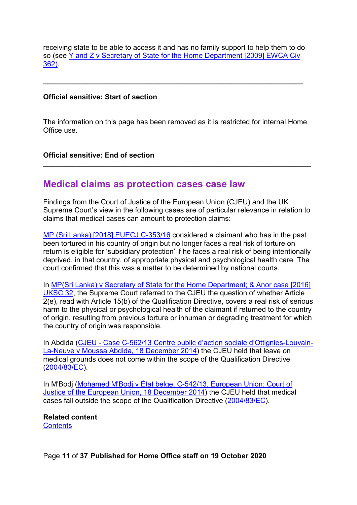receiving state to be able to access it and has no family support to help them to do so (see Y and Z v Secretary of State for the Home Department [2009] EWCA Civ [362\)](https://www.bailii.org/ew/cases/EWCA/Civ/2009/362.html).

**\_\_\_\_\_\_\_\_\_\_\_\_\_\_\_\_\_\_\_\_\_\_\_\_\_\_\_\_\_\_\_\_\_\_\_\_\_\_\_\_\_\_\_\_\_\_\_\_\_\_\_\_\_\_\_\_\_\_\_\_\_\_\_\_\_**

#### **Official sensitive: Start of section**

The information on this page has been removed as it is restricted for internal Home Office use.

**\_\_\_\_\_\_\_\_\_\_\_\_\_\_\_\_\_\_\_\_\_\_\_\_\_\_\_\_\_\_\_\_\_\_\_\_\_\_\_\_\_\_\_\_\_\_\_\_\_\_\_\_\_\_\_\_\_\_\_\_\_\_\_\_\_\_\_**

#### **Official sensitive: End of section**

### <span id="page-10-0"></span>**Medical claims as protection cases case law**

Findings from the Court of Justice of the European Union (CJEU) and the UK Supreme Court's view in the following cases are of particular relevance in relation to claims that medical cases can amount to protection claims:

[MP \(Sri Lanka\) \[2018\] EUECJ C-353/16](https://www.bailii.org/eu/cases/EUECJ/2018/C35316.html) considered a claimant who has in the past been tortured in his country of origin but no longer faces a real risk of torture on return is eligible for 'subsidiary protection' if he faces a real risk of being intentionally deprived, in that country, of appropriate physical and psychological health care. The court confirmed that this was a matter to be determined by national courts.

In [MP\(Sri Lanka\) v Secretary of State for the Home Department; & Anor case \[2016\]](https://www.supremecourt.uk/cases/uksc-2015-0027.html)  [UKSC 32,](https://www.supremecourt.uk/cases/uksc-2015-0027.html) the Supreme Court referred to the CJEU the question of whether Article 2(e), read with Article 15(b) of the Qualification Directive, covers a real risk of serious harm to the physical or psychological health of the claimant if returned to the country of origin, resulting from previous torture or inhuman or degrading treatment for which the country of origin was responsible.

In Abdida (CJEU - [Case C-562/13 Centre public d'action sociale d'Ottignies-Louvain-](http://www.asylumlawdatabase.eu/en/content/cjeu-case-c-56213-centre-public-d%E2%80%99action-sociale-d%E2%80%99ottignies-louvain-la-neuve-v-moussa)[La-Neuve v Moussa Abdida, 18 December 2014\)](http://www.asylumlawdatabase.eu/en/content/cjeu-case-c-56213-centre-public-d%E2%80%99action-sociale-d%E2%80%99ottignies-louvain-la-neuve-v-moussa) the CJEU held that leave on medical grounds does not come within the scope of the Qualification Directive [\(2004/83/EC\)](http://eur-lex.europa.eu/LexUriServ/LexUriServ.do?uri=CELEX:32004L0083:EN:HTML).

In M'Bodj (Mohamed M'Bodj v État belge, C-542/13, European Union: Court of [Justice of the European Union, 18 December 2014\)](http://www.refworld.org/cases,ECJ,54a118ab4.html) the CJEU held that medical cases fall outside the scope of the Qualification Directive [\(2004/83/EC\)](http://eur-lex.europa.eu/LexUriServ/LexUriServ.do?uri=CELEX:32004L0083:EN:HTML).

**Related content [Contents](#page-1-0)** 

Page **11** of **37 Published for Home Office staff on 19 October 2020**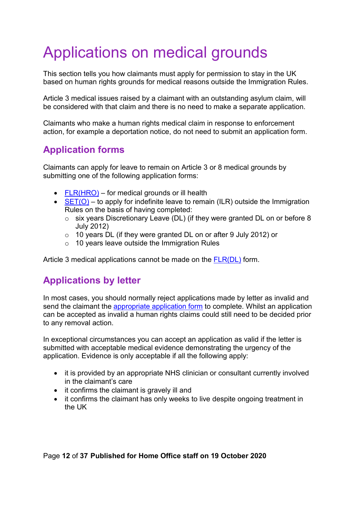# <span id="page-11-0"></span>Applications on medical grounds

This section tells you how claimants must apply for permission to stay in the UK based on human rights grounds for medical reasons outside the Immigration Rules.

Article 3 medical issues raised by a claimant with an outstanding asylum claim, will be considered with that claim and there is no need to make a separate application.

Claimants who make a human rights medical claim in response to enforcement action, for example a deportation notice, do not need to submit an application form.

# <span id="page-11-1"></span>**Application forms**

Claimants can apply for leave to remain on Article 3 or 8 medical grounds by submitting one of the following application forms:

- $FLR(HRO) for medical grounds or ill health$  $FLR(HRO) for medical grounds or ill health$
- $SET(O) SET(O) -$  to apply for indefinite leave to remain (ILR) outside the Immigration Rules on the basis of having completed:
	- o six years Discretionary Leave (DL) (if they were granted DL on or before 8 July 2012)
	- o 10 years DL (if they were granted DL on or after 9 July 2012) or
	- $\circ$  10 years leave outside the Immigration Rules

Article 3 medical applications cannot be made on the [FLR\(DL\)](https://www.gov.uk/government/publications/application-to-extend-stay-or-settle-in-the-uk-form-dl) form.

# <span id="page-11-2"></span>**Applications by letter**

In most cases, you should normally reject applications made by letter as invalid and send the claimant the [appropriate application form](#page-11-1) to complete. Whilst an application can be accepted as invalid a human rights claims could still need to be decided prior to any removal action.

In exceptional circumstances you can accept an application as valid if the letter is submitted with acceptable medical evidence demonstrating the urgency of the application. Evidence is only acceptable if all the following apply:

- it is provided by an appropriate NHS clinician or consultant currently involved in the claimant's care
- it confirms the claimant is gravely ill and
- it confirms the claimant has only weeks to live despite ongoing treatment in the UK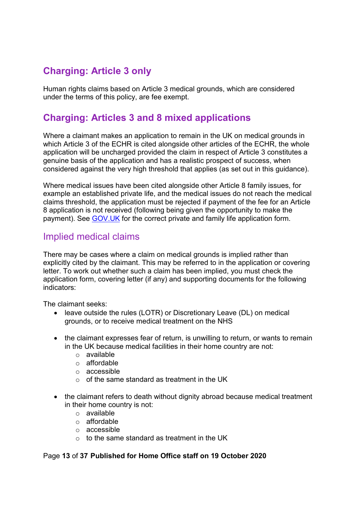# <span id="page-12-0"></span>**Charging: Article 3 only**

Human rights claims based on Article 3 medical grounds, which are considered under the terms of this policy, are fee exempt.

# <span id="page-12-1"></span>**Charging: Articles 3 and 8 mixed applications**

Where a claimant makes an application to remain in the UK on medical grounds in which Article 3 of the ECHR is cited alongside other articles of the ECHR, the whole application will be uncharged provided the claim in respect of Article 3 constitutes a genuine basis of the application and has a realistic prospect of success, when considered against the very high threshold that applies (as set out in this guidance).

Where medical issues have been cited alongside other Article 8 family issues, for example an established private life, and the medical issues do not reach the medical claims threshold, the application must be rejected if payment of the fee for an Article 8 application is not received (following being given the opportunity to make the payment). See [GOV.UK](https://www.gov.uk/government/publications/application-to-extend-stay-in-the-uk-form-flrfp) for the correct private and family life application form.

## <span id="page-12-2"></span>Implied medical claims

There may be cases where a claim on medical grounds is implied rather than explicitly cited by the claimant. This may be referred to in the application or covering letter. To work out whether such a claim has been implied, you must check the application form, covering letter (if any) and supporting documents for the following indicators:

The claimant seeks:

- leave outside the rules (LOTR) or Discretionary Leave (DL) on medical grounds, or to receive medical treatment on the NHS
- the claimant expresses fear of return, is unwilling to return, or wants to remain in the UK because medical facilities in their home country are not:
	- o available
	- o affordable
	- o accessible
	- $\circ$  of the same standard as treatment in the UK
- the claimant refers to death without dignity abroad because medical treatment in their home country is not:
	- o available
	- o affordable
	- o accessible
	- $\circ$  to the same standard as treatment in the UK

#### Page **13** of **37 Published for Home Office staff on 19 October 2020**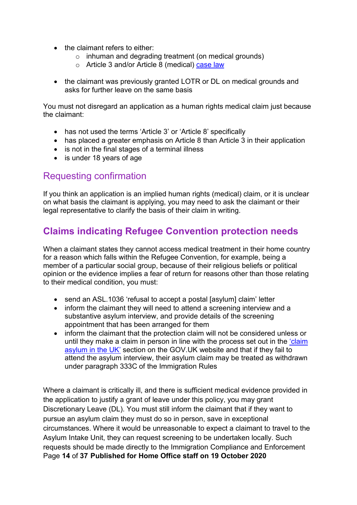- the claimant refers to either:
	- o inhuman and degrading treatment (on medical grounds)
	- o Article 3 and/or Article 8 (medical) [case law](#page-8-0)
- the claimant was previously granted LOTR or DL on medical grounds and asks for further leave on the same basis

You must not disregard an application as a human rights medical claim just because the claimant:

- has not used the terms 'Article 3' or 'Article 8' specifically
- has placed a greater emphasis on Article 8 than Article 3 in their application
- is not in the final stages of a terminal illness
- is under 18 years of age

## <span id="page-13-0"></span>Requesting confirmation

If you think an application is an implied human rights (medical) claim, or it is unclear on what basis the claimant is applying, you may need to ask the claimant or their legal representative to clarify the basis of their claim in writing.

# <span id="page-13-2"></span><span id="page-13-1"></span>**Claims indicating Refugee Convention protection needs**

When a claimant states they cannot access medical treatment in their home country for a reason which falls within the Refugee Convention, for example, being a member of a particular social group, because of their religious beliefs or political opinion or the evidence implies a fear of return for reasons other than those relating to their medical condition, you must:

- send an ASL.1036 'refusal to accept a postal [asylum] claim' letter
- inform the claimant they will need to attend a screening interview and a substantive asylum interview, and provide details of the screening appointment that has been arranged for them
- inform the claimant that the protection claim will not be considered unless or until they make a claim in person in line with the process set out in the ['claim](https://www.gov.uk/claim-asylum/overview)  [asylum in the UK'](https://www.gov.uk/claim-asylum/overview) section on the GOV.UK website and that if they fail to attend the asylum interview, their asylum claim may be treated as withdrawn under paragraph 333C of the Immigration Rules

Page **14** of **37 Published for Home Office staff on 19 October 2020** Where a claimant is critically ill, and there is sufficient medical evidence provided in the application to justify a grant of leave under this policy, you may grant Discretionary Leave (DL). You must still inform the claimant that if they want to pursue an asylum claim they must do so in person, save in exceptional circumstances. Where it would be unreasonable to expect a claimant to travel to the Asylum Intake Unit, they can request screening to be undertaken locally. Such requests should be made directly to the Immigration Compliance and Enforcement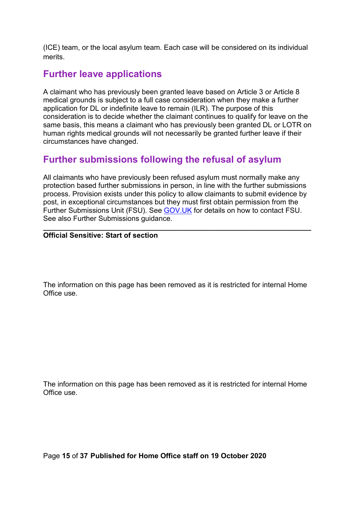(ICE) team, or the local asylum team. Each case will be considered on its individual merits.

# <span id="page-14-0"></span>**Further leave applications**

A claimant who has previously been granted leave based on Article 3 or Article 8 medical grounds is subject to a full case consideration when they make a further application for DL or indefinite leave to remain (ILR). The purpose of this consideration is to decide whether the claimant continues to qualify for leave on the same basis, this means a claimant who has previously been granted DL or LOTR on human rights medical grounds will not necessarily be granted further leave if their circumstances have changed.

# <span id="page-14-1"></span>**Further submissions following the refusal of asylum**

All claimants who have previously been refused asylum must normally make any protection based further submissions in person, in line with the further submissions process. Provision exists under this policy to allow claimants to submit evidence by post, in exceptional circumstances but they must first obtain permission from the Further Submissions Unit (FSU). See [GOV.UK](https://www.gov.uk/submit-new-evidence-asylum-claim) for details on how to contact FSU. See also Further Submissions guidance.

#### **\_\_\_\_\_\_\_\_\_\_\_\_\_\_\_\_\_\_\_\_\_\_\_\_\_\_\_\_\_\_\_\_\_\_\_\_\_\_\_\_\_\_\_\_\_\_\_\_\_\_\_\_\_\_\_\_\_\_\_\_\_\_\_\_\_\_\_ Official Sensitive: Start of section**

The information on this page has been removed as it is restricted for internal Home Office use.

The information on this page has been removed as it is restricted for internal Home Office use.

Page **15** of **37 Published for Home Office staff on 19 October 2020**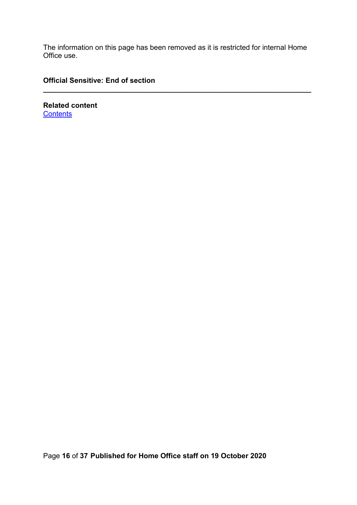The information on this page has been removed as it is restricted for internal Home Office use.

**\_\_\_\_\_\_\_\_\_\_\_\_\_\_\_\_\_\_\_\_\_\_\_\_\_\_\_\_\_\_\_\_\_\_\_\_\_\_\_\_\_\_\_\_\_\_\_\_\_\_\_\_\_\_\_\_\_\_\_\_\_\_\_\_\_\_\_**

### **Official Sensitive: End of section**

**Related content [Contents](#page-1-0)**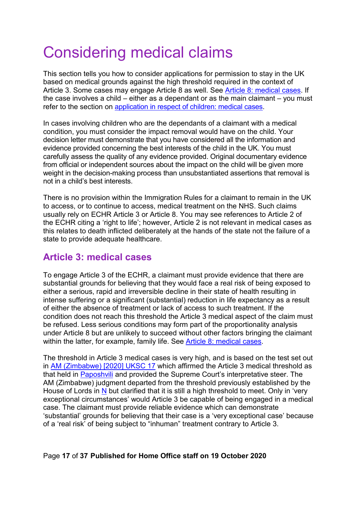# <span id="page-16-0"></span>Considering medical claims

This section tells you how to consider applications for permission to stay in the UK based on medical grounds against the high threshold required in the context of Article 3. Some cases may engage Article 8 as well. See [Article 8: medical cases.](#page-21-2) If the case involves a child – either as a dependant or as the main claimant – you must refer to the section on [application in respect of children: medical cases.](#page-6-1)

In cases involving children who are the dependants of a claimant with a medical condition, you must consider the impact removal would have on the child. Your decision letter must demonstrate that you have considered all the information and evidence provided concerning the best interests of the child in the UK. You must carefully assess the quality of any evidence provided. Original documentary evidence from official or independent sources about the impact on the child will be given more weight in the decision-making process than unsubstantiated assertions that removal is not in a child's best interests.

There is no provision within the Immigration Rules for a claimant to remain in the UK to access, or to continue to access, medical treatment on the NHS. Such claims usually rely on ECHR Article 3 or Article 8. You may see references to Article 2 of the ECHR citing a 'right to life'; however, Article 2 is not relevant in medical cases as this relates to death inflicted deliberately at the hands of the state not the failure of a state to provide adequate healthcare.

## <span id="page-16-1"></span>**Article 3: medical cases**

To engage Article 3 of the ECHR, a claimant must provide evidence that there are substantial grounds for believing that they would face a real risk of being exposed to either a serious, rapid and irreversible decline in their state of health resulting in intense suffering or a significant (substantial) reduction in life expectancy as a result of either the absence of treatment or lack of access to such treatment. If the condition does not reach this threshold the Article 3 medical aspect of the claim must be refused. Less serious conditions may form part of the proportionality analysis under Article 8 but are unlikely to succeed without other factors bringing the claimant within the latter, for example, family life. See [Article 8: medical cases.](#page-21-2)

The threshold in Article 3 medical cases is very high, and is based on the test set out in [AM \(Zimbabwe\) \[2020\] UKSC 17](https://www.supremecourt.uk/cases/docs/uksc-2018-0048-judgment.pdf) which affirmed the Article 3 medical threshold as that held in [Paposhvili](https://www.refworld.org/cases,ECHR,5859459b4.html) and provided the Supreme Court's interpretative steer. The AM (Zimbabwe) judgment departed from the threshold previously established by the House of Lords in [N](https://www.bailii.org/eu/cases/ECHR/2008/453.html) but clarified that it is still a high threshold to meet. Only in 'very exceptional circumstances' would Article 3 be capable of being engaged in a medical case. The claimant must provide reliable evidence which can demonstrate 'substantial' grounds for believing that their case is a 'very exceptional case' because of a 'real risk' of being subject to "inhuman" treatment contrary to Article 3.

### Page **17** of **37 Published for Home Office staff on 19 October 2020**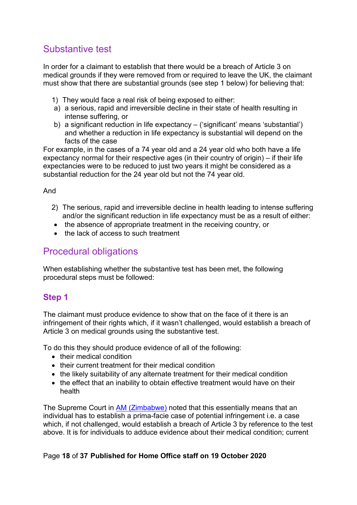# <span id="page-17-0"></span>Substantive test

In order for a claimant to establish that there would be a breach of Article 3 on medical grounds if they were removed from or required to leave the UK, the claimant must show that there are substantial grounds (see step 1 below) for believing that:

- 1) They would face a real risk of being exposed to either:
- a) a serious, rapid and irreversible decline in their state of health resulting in intense suffering, or
- b) a significant reduction in life expectancy ('significant' means 'substantial') and whether a reduction in life expectancy is substantial will depend on the facts of the case

For example, in the cases of a 74 year old and a 24 year old who both have a life expectancy normal for their respective ages (in their country of origin) – if their life expectancies were to be reduced to just two years it might be considered as a substantial reduction for the 24 year old but not the 74 year old.

#### And

- 2) The serious, rapid and irreversible decline in health leading to intense suffering and/or the significant reduction in life expectancy must be as a result of either:
- the absence of appropriate treatment in the receiving country, or
- the lack of access to such treatment

## <span id="page-17-1"></span>Procedural obligations

When establishing whether the substantive test has been met, the following procedural steps must be followed:

### <span id="page-17-2"></span>**Step 1**

The claimant must produce evidence to show that on the face of it there is an infringement of their rights which, if it wasn't challenged, would establish a breach of Article 3 on medical grounds using the substantive test.

To do this they should produce evidence of all of the following:

- their medical condition
- their current treatment for their medical condition
- the likely suitability of any alternate treatment for their medical condition
- the effect that an inability to obtain effective treatment would have on their health

The Supreme Court in [AM \(Zimbabwe\)](https://www.supremecourt.uk/cases/docs/uksc-2018-0048-judgment.pdf) noted that this essentially means that an individual has to establish a prima-facie case of potential infringement i.e. a case which, if not challenged, would establish a breach of Article 3 by reference to the test above. It is for individuals to adduce evidence about their medical condition; current

### Page **18** of **37 Published for Home Office staff on 19 October 2020**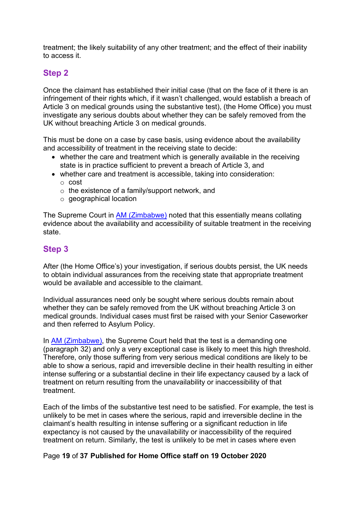treatment; the likely suitability of any other treatment; and the effect of their inability to access it.

### <span id="page-18-0"></span>**Step 2**

Once the claimant has established their initial case (that on the face of it there is an infringement of their rights which, if it wasn't challenged, would establish a breach of Article 3 on medical grounds using the substantive test), (the Home Office) you must investigate any serious doubts about whether they can be safely removed from the UK without breaching Article 3 on medical grounds.

This must be done on a case by case basis, using evidence about the availability and accessibility of treatment in the receiving state to decide:

- whether the care and treatment which is generally available in the receiving state is in practice sufficient to prevent a breach of Article 3, and
- whether care and treatment is accessible, taking into consideration:
	- o cost
	- o the existence of a family/support network, and
	- o geographical location

The Supreme Court in [AM \(Zimbabwe\)](https://www.supremecourt.uk/cases/docs/uksc-2018-0048-judgment.pdf) noted that this essentially means collating evidence about the availability and accessibility of suitable treatment in the receiving state.

### <span id="page-18-1"></span>**Step 3**

After (the Home Office's) your investigation, if serious doubts persist, the UK needs to obtain individual assurances from the receiving state that appropriate treatment would be available and accessible to the claimant.

Individual assurances need only be sought where serious doubts remain about whether they can be safely removed from the UK without breaching Article 3 on medical grounds. Individual cases must first be raised with your Senior Caseworker and then referred to Asylum Policy.

In [AM \(Zimbabwe\),](https://www.supremecourt.uk/cases/docs/uksc-2018-0048-judgment.pdf) the Supreme Court held that the test is a demanding one (paragraph 32) and only a very exceptional case is likely to meet this high threshold. Therefore, only those suffering from very serious medical conditions are likely to be able to show a serious, rapid and irreversible decline in their health resulting in either intense suffering or a substantial decline in their life expectancy caused by a lack of treatment on return resulting from the unavailability or inaccessibility of that treatment.

Each of the limbs of the substantive test need to be satisfied. For example, the test is unlikely to be met in cases where the serious, rapid and irreversible decline in the claimant's health resulting in intense suffering or a significant reduction in life expectancy is not caused by the unavailability or inaccessibility of the required treatment on return. Similarly, the test is unlikely to be met in cases where even

Page **19** of **37 Published for Home Office staff on 19 October 2020**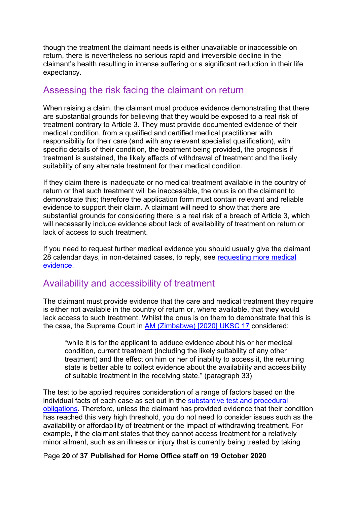though the treatment the claimant needs is either unavailable or inaccessible on return, there is nevertheless no serious rapid and irreversible decline in the claimant's health resulting in intense suffering or a significant reduction in their life expectancy.

## <span id="page-19-0"></span>Assessing the risk facing the claimant on return

When raising a claim, the claimant must produce evidence demonstrating that there are substantial grounds for believing that they would be exposed to a real risk of treatment contrary to Article 3. They must provide documented evidence of their medical condition, from a qualified and certified medical practitioner with responsibility for their care (and with any relevant specialist qualification), with specific details of their condition, the treatment being provided, the prognosis if treatment is sustained, the likely effects of withdrawal of treatment and the likely suitability of any alternate treatment for their medical condition.

If they claim there is inadequate or no medical treatment available in the country of return or that such treatment will be inaccessible, the onus is on the claimant to demonstrate this; therefore the application form must contain relevant and reliable evidence to support their claim. A claimant will need to show that there are substantial grounds for considering there is a real risk of a breach of Article 3, which will necessarily include evidence about lack of availability of treatment on return or lack of access to such treatment.

If you need to request further medical evidence you should usually give the claimant 28 calendar days, in non-detained cases, to reply, see [requesting more medical](#page-32-2)  [evidence.](#page-32-2)

## <span id="page-19-1"></span>Availability and accessibility of treatment

The claimant must provide evidence that the care and medical treatment they require is either not available in the country of return or, where available, that they would lack access to such treatment. Whilst the onus is on them to demonstrate that this is the case, the Supreme Court in [AM \(Zimbabwe\) \[2020\] UKSC 17](https://www.supremecourt.uk/cases/docs/uksc-2018-0048-judgment.pdf) considered:

"while it is for the applicant to adduce evidence about his or her medical condition, current treatment (including the likely suitability of any other treatment) and the effect on him or her of inability to access it, the returning state is better able to collect evidence about the availability and accessibility of suitable treatment in the receiving state." (paragraph 33)

The test to be applied requires consideration of a range of factors based on the individual facts of each case as set out in the [substantive test and procedural](#page-17-0)  [obligations.](#page-17-0) Therefore, unless the claimant has provided evidence that their condition has reached this very high threshold, you do not need to consider issues such as the availability or affordability of treatment or the impact of withdrawing treatment. For example, if the claimant states that they cannot access treatment for a relatively minor ailment, such as an illness or injury that is currently being treated by taking

Page **20** of **37 Published for Home Office staff on 19 October 2020**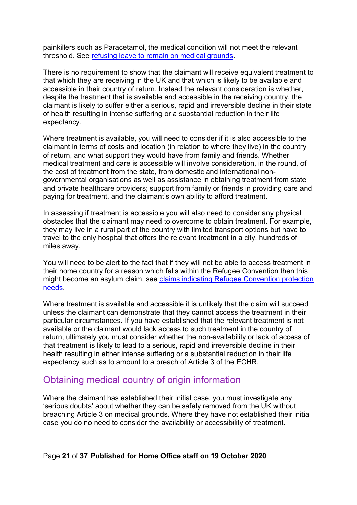painkillers such as Paracetamol, the medical condition will not meet the relevant threshold. See [refusing leave to remain on medical grounds.](#page-34-1)

There is no requirement to show that the claimant will receive equivalent treatment to that which they are receiving in the UK and that which is likely to be available and accessible in their country of return. Instead the relevant consideration is whether, despite the treatment that is available and accessible in the receiving country, the claimant is likely to suffer either a serious, rapid and irreversible decline in their state of health resulting in intense suffering or a substantial reduction in their life expectancy.

Where treatment is available, you will need to consider if it is also accessible to the claimant in terms of costs and location (in relation to where they live) in the country of return, and what support they would have from family and friends. Whether medical treatment and care is accessible will involve consideration, in the round, of the cost of treatment from the state, from domestic and international nongovernmental organisations as well as assistance in obtaining treatment from state and private healthcare providers; support from family or friends in providing care and paying for treatment, and the claimant's own ability to afford treatment.

In assessing if treatment is accessible you will also need to consider any physical obstacles that the claimant may need to overcome to obtain treatment. For example, they may live in a rural part of the country with limited transport options but have to travel to the only hospital that offers the relevant treatment in a city, hundreds of miles away.

You will need to be alert to the fact that if they will not be able to access treatment in their home country for a reason which falls within the Refugee Convention then this might become an asylum claim, see claims indicating Refugee Convention protection [needs.](#page-13-2)

Where treatment is available and accessible it is unlikely that the claim will succeed unless the claimant can demonstrate that they cannot access the treatment in their particular circumstances. If you have established that the relevant treatment is not available or the claimant would lack access to such treatment in the country of return, ultimately you must consider whether the non-availability or lack of access of that treatment is likely to lead to a serious, rapid and irreversible decline in their health resulting in either intense suffering or a substantial reduction in their life expectancy such as to amount to a breach of Article 3 of the ECHR.

### <span id="page-20-0"></span>Obtaining medical country of origin information

Where the claimant has established their initial case, you must investigate any 'serious doubts' about whether they can be safely removed from the UK without breaching Article 3 on medical grounds. Where they have not established their initial case you do no need to consider the availability or accessibility of treatment.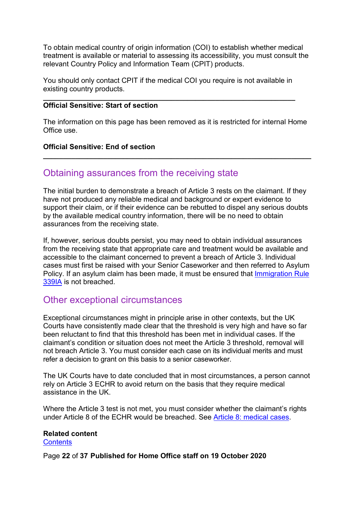To obtain medical country of origin information (COI) to establish whether medical treatment is available or material to assessing its accessibility, you must consult the relevant Country Policy and Information Team (CPIT) products.

You should only contact CPIT if the medical COI you require is not available in existing country products.

#### **\_\_\_\_\_\_\_\_\_\_\_\_\_\_\_\_\_\_\_\_\_\_\_\_\_\_\_\_\_\_\_\_\_\_\_\_\_\_\_\_\_\_\_\_\_\_\_\_\_\_\_\_\_\_\_\_\_\_\_\_\_\_\_ Official Sensitive: Start of section**

The information on this page has been removed as it is restricted for internal Home Office use.

**\_\_\_\_\_\_\_\_\_\_\_\_\_\_\_\_\_\_\_\_\_\_\_\_\_\_\_\_\_\_\_\_\_\_\_\_\_\_\_\_\_\_\_\_\_\_\_\_\_\_\_\_\_\_\_\_\_\_\_\_\_\_\_\_\_\_\_**

#### **Official Sensitive: End of section**

### <span id="page-21-0"></span>Obtaining assurances from the receiving state

The initial burden to demonstrate a breach of Article 3 rests on the claimant. If they have not produced any reliable medical and background or expert evidence to support their claim, or if their evidence can be rebutted to dispel any serious doubts by the available medical country information, there will be no need to obtain assurances from the receiving state.

If, however, serious doubts persist, you may need to obtain individual assurances from the receiving state that appropriate care and treatment would be available and accessible to the claimant concerned to prevent a breach of Article 3. Individual cases must first be raised with your Senior Caseworker and then referred to Asylum Policy. If an asylum claim has been made, it must be ensured that Immigration Rule [339IA](https://www.gov.uk/guidance/immigration-rules/immigration-rules-part-11-asylum) is not breached.

## <span id="page-21-1"></span>Other exceptional circumstances

Exceptional circumstances might in principle arise in other contexts, but the UK Courts have consistently made clear that the threshold is very high and have so far been reluctant to find that this threshold has been met in individual cases. If the claimant's condition or situation does not meet the Article 3 threshold, removal will not breach Article 3. You must consider each case on its individual merits and must refer a decision to grant on this basis to a senior caseworker.

The UK Courts have to date concluded that in most circumstances, a person cannot rely on Article 3 ECHR to avoid return on the basis that they require medical assistance in the UK.

Where the Article 3 test is not met, you must consider whether the claimant's rights under Article 8 of the ECHR would be breached. See [Article 8: medical cases.](#page-21-2)

#### **Related content**

**[Contents](#page-1-0)** 

<span id="page-21-2"></span>Page **22** of **37 Published for Home Office staff on 19 October 2020**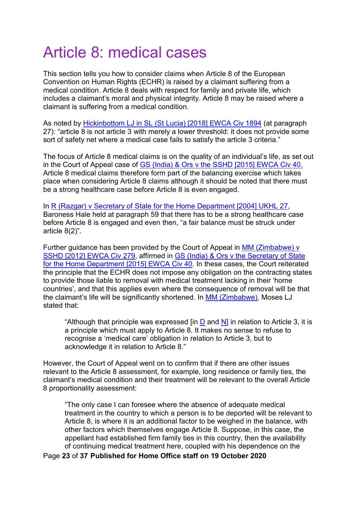# <span id="page-22-0"></span>Article 8: medical cases

This section tells you how to consider claims when Article 8 of the European Convention on Human Rights (ECHR) is raised by a claimant suffering from a medical condition. Article 8 deals with respect for family and private life, which includes a claimant's moral and physical integrity. Article 8 may be raised where a claimant is suffering from a medical condition.

As noted by [Hickinbottom LJ in SL \(St Lucia\)](https://www.bailii.org/ew/cases/EWCA/Civ/2018/1894.html) [2018] EWCA Civ 1894 (at paragraph 27): "article 8 is not article 3 with merely a lower threshold: it does not provide some sort of safety net where a medical case fails to satisfy the article 3 criteria."

The focus of Article 8 medical claims is on the quality of an individual's life, as set out in the Court of Appeal case of [GS \(India\) & Ors v the SSHD \[2015\] EWCA Civ 40.](http://www.bailii.org/ew/cases/EWCA/Civ/2015/40.html) Article 8 medical claims therefore form part of the balancing exercise which takes place when considering Article 8 claims although it should be noted that there must be a strong healthcare case before Article 8 is even engaged.

In [R \(Razgar\) v Secretary of State for the Home Department](http://www.bailii.org/uk/cases/UKHL/2004/27.html) [2004] UKHL 27, Baroness Hale held at paragraph 59 that there has to be a strong healthcare case before Article 8 is engaged and even then, "a fair balance must be struck under article 8(2)".

Further guidance has been provided by the Court of Appeal in [MM \(Zimbabwe\) v](http://www.bailii.org/ew/cases/EWCA/Civ/2012/279.html)  [SSHD \[2012\] EWCA Civ 279,](http://www.bailii.org/ew/cases/EWCA/Civ/2012/279.html) affirmed in [GS \(India\) & Ors v the Secretary of State](http://www.bailii.org/ew/cases/EWCA/Civ/2015/40.html)  [for the Home Department \[2015\] EWCA Civ 40.](http://www.bailii.org/ew/cases/EWCA/Civ/2015/40.html) In these cases, the Court reiterated the principle that the ECHR does not impose any obligation on the contracting states to provide those liable to removal with medical treatment lacking in their 'home countries', and that this applies even where the consequence of removal will be that the claimant's life will be significantly shortened. In [MM \(Zimbabwe\),](http://www.bailii.org/ew/cases/EWCA/Civ/2012/279.html) Moses LJ stated that:

"Although that principle was expressed  $\overline{p}$  and N in relation to Article 3, it is a principle which must apply to Article 8. It makes no sense to refuse to recognise a 'medical care' obligation in relation to Article 3, but to acknowledge it in relation to Article 8."

However, the Court of Appeal went on to confirm that if there are other issues relevant to the Article 8 assessment, for example, long residence or family ties, the claimant's medical condition and their treatment will be relevant to the overall Article 8 proportionality assessment:

"The only case I can foresee where the absence of adequate medical treatment in the country to which a person is to be deported will be relevant to Article 8, is where it is an additional factor to be weighed in the balance, with other factors which themselves engage Article 8. Suppose, in this case, the appellant had established firm family ties in this country, then the availability of continuing medical treatment here, coupled with his dependence on the

Page **23** of **37 Published for Home Office staff on 19 October 2020**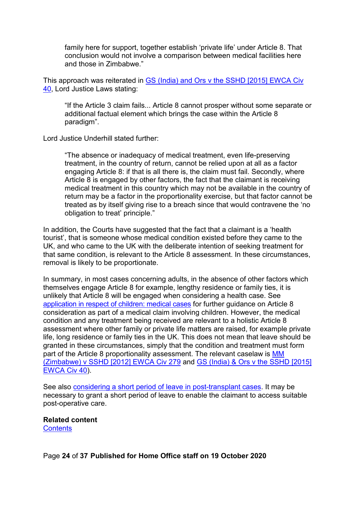family here for support, together establish 'private life' under Article 8. That conclusion would not involve a comparison between medical facilities here and those in Zimbabwe."

This approach was reiterated in [GS \(India\) and Ors v the SSHD \[2015\] EWCA Civ](http://www.bailii.org/ew/cases/EWCA/Civ/2015/40.html)  [40,](http://www.bailii.org/ew/cases/EWCA/Civ/2015/40.html) Lord Justice Laws stating:

"If the Article 3 claim fails... Article 8 cannot prosper without some separate or additional factual element which brings the case within the Article 8 paradigm".

Lord Justice Underhill stated further:

"The absence or inadequacy of medical treatment, even life-preserving treatment, in the country of return, cannot be relied upon at all as a factor engaging Article 8: if that is all there is, the claim must fail. Secondly, where Article 8 is engaged by other factors, the fact that the claimant is receiving medical treatment in this country which may not be available in the country of return may be a factor in the proportionality exercise, but that factor cannot be treated as by itself giving rise to a breach since that would contravene the 'no obligation to treat' principle."

In addition, the Courts have suggested that the fact that a claimant is a 'health tourist', that is someone whose medical condition existed before they came to the UK, and who came to the UK with the deliberate intention of seeking treatment for that same condition, is relevant to the Article 8 assessment. In these circumstances, removal is likely to be proportionate.

In summary, in most cases concerning adults, in the absence of other factors which themselves engage Article 8 for example, lengthy residence or family ties, it is unlikely that Article 8 will be engaged when considering a health case. See [application in respect of children: medical cases](#page-6-1) for further guidance on Article 8 consideration as part of a medical claim involving children. However, the medical condition and any treatment being received are relevant to a holistic Article 8 assessment where other family or private life matters are raised, for example private life, long residence or family ties in the UK. This does not mean that leave should be granted in these circumstances, simply that the condition and treatment must form part of the Article 8 proportionality assessment. The relevant caselaw is [MM](http://www.bailii.org/ew/cases/EWCA/Civ/2012/279.html)  [\(Zimbabwe\) v SSHD \[2012\] EWCA Civ 279](http://www.bailii.org/ew/cases/EWCA/Civ/2012/279.html) and [GS \(India\) & Ors v the SSHD \[2015\]](http://www.bailii.org/ew/cases/EWCA/Civ/2015/40.html)  [EWCA Civ 40\)](http://www.bailii.org/ew/cases/EWCA/Civ/2015/40.html).

See also [considering a short period of leave in post-transplant](#page-25-1) cases. It may be necessary to grant a short period of leave to enable the claimant to access suitable post-operative care.

**Related content [Contents](#page-1-0)** 

Page **24** of **37 Published for Home Office staff on 19 October 2020**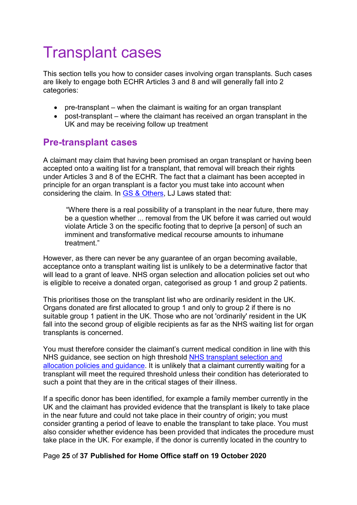# <span id="page-24-0"></span>Transplant cases

This section tells you how to consider cases involving organ transplants. Such cases are likely to engage both ECHR Articles 3 and 8 and will generally fall into 2 categories:

- pre-transplant when the claimant is waiting for an organ transplant
- post-transplant where the claimant has received an organ transplant in the UK and may be receiving follow up treatment

## <span id="page-24-1"></span>**Pre-transplant cases**

A claimant may claim that having been promised an organ transplant or having been accepted onto a waiting list for a transplant, that removal will breach their rights under Articles 3 and 8 of the ECHR. The fact that a claimant has been accepted in principle for an organ transplant is a factor you must take into account when considering the claim. In GS & [Others,](http://www.bailii.org/ew/cases/EWCA/Civ/2015/40.html) LJ Laws stated that:

"Where there is a real possibility of a transplant in the near future, there may be a question whether ... removal from the UK before it was carried out would violate Article 3 on the specific footing that to deprive [a person] of such an imminent and transformative medical recourse amounts to inhumane treatment."

However, as there can never be any guarantee of an organ becoming available, acceptance onto a transplant waiting list is unlikely to be a determinative factor that will lead to a grant of leave. NHS organ selection and allocation policies set out who is eligible to receive a donated organ, categorised as group 1 and group 2 patients.

This prioritises those on the transplant list who are ordinarily resident in the UK. Organs donated are first allocated to group 1 and only to group 2 if there is no suitable group 1 patient in the UK. Those who are not 'ordinarily' resident in the UK fall into the second group of eligible recipients as far as the NHS waiting list for organ transplants is concerned.

You must therefore consider the claimant's current medical condition in line with this NHS guidance, see section on high threshold [NHS transplant selection and](https://www.odt.nhs.uk/transplantation/tools-policies-and-guidance/policies-and-guidance/)  [allocation policies and guidance.](https://www.odt.nhs.uk/transplantation/tools-policies-and-guidance/policies-and-guidance/) It is unlikely that a claimant currently waiting for a transplant will meet the required threshold unless their condition has deteriorated to such a point that they are in the critical stages of their illness.

If a specific donor has been identified, for example a family member currently in the UK and the claimant has provided evidence that the transplant is likely to take place in the near future and could not take place in their country of origin; you must consider granting a period of leave to enable the transplant to take place. You must also consider whether evidence has been provided that indicates the procedure must take place in the UK. For example, if the donor is currently located in the country to

#### Page **25** of **37 Published for Home Office staff on 19 October 2020**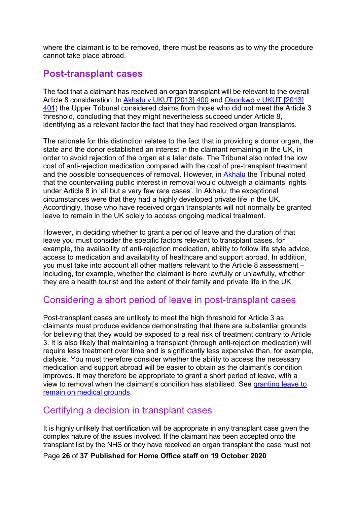where the claimant is to be removed, there must be reasons as to why the procedure cannot take place abroad.

## <span id="page-25-0"></span>**Post-transplant cases**

The fact that a claimant has received an organ transplant will be relevant to the overall Article 8 consideration. In [Akhalu v UKUT \[2013\] 400](https://www.refworld.org/cases,GBR_UTIAC,521373b14.html) and [Okonkwo v UKUT \[2013\]](https://tribunalsdecisions.service.gov.uk/utiac/2013-ukut-401)  [401\)](https://tribunalsdecisions.service.gov.uk/utiac/2013-ukut-401) the Upper Tribunal considered claims from those who did not meet the Article 3 threshold, concluding that they might nevertheless succeed under Article 8, identifying as a relevant factor the fact that they had received organ transplants.

The rationale for this distinction relates to the fact that in providing a donor organ, the state and the donor established an interest in the claimant remaining in the UK, in order to avoid rejection of the organ at a later date. The Tribunal also noted the low cost of anti-rejection medication compared with the cost of pre-transplant treatment and the possible consequences of removal. However, in [Akhalu](https://www.refworld.org/cases,GBR_UTIAC,521373b14.html) the Tribunal noted that the countervailing public interest in removal would outweigh a claimants' rights under Article 8 in 'all but a very few rare cases'. In Akhalu, the exceptional circumstances were that they had a highly developed private life in the UK. Accordingly, those who have received organ transplants will not normally be granted leave to remain in the UK solely to access ongoing medical treatment.

However, in deciding whether to grant a period of leave and the duration of that leave you must consider the specific factors relevant to transplant cases, for example, the availability of anti-rejection medication, ability to follow life style advice, access to medication and availability of healthcare and support abroad. In addition, you must take into account all other matters relevant to the Article 8 assessment – including, for example, whether the claimant is here lawfully or unlawfully, whether they are a health tourist and the extent of their family and private life in the UK.

# <span id="page-25-1"></span>Considering a short period of leave in post-transplant cases

Post-transplant cases are unlikely to meet the high threshold for Article 3 as claimants must produce evidence demonstrating that there are substantial grounds for believing that they would be exposed to a real risk of treatment contrary to Article 3. It is also likely that maintaining a transplant (through anti-rejection medication) will require less treatment over time and is significantly less expensive than, for example, dialysis. You must therefore consider whether the ability to access the necessary medication and support abroad will be easier to obtain as the claimant's condition improves. It may therefore be appropriate to grant a short period of leave, with a view to removal when the claimant's condition has stabilised. See [granting leave to](#page-34-3)  [remain on medical grounds.](#page-34-3)

## <span id="page-25-2"></span>Certifying a decision in transplant cases

It is highly unlikely that certification will be appropriate in any transplant case given the complex nature of the issues involved. If the claimant has been accepted onto the transplant list by the NHS or they have received an organ transplant the case must not

Page **26** of **37 Published for Home Office staff on 19 October 2020**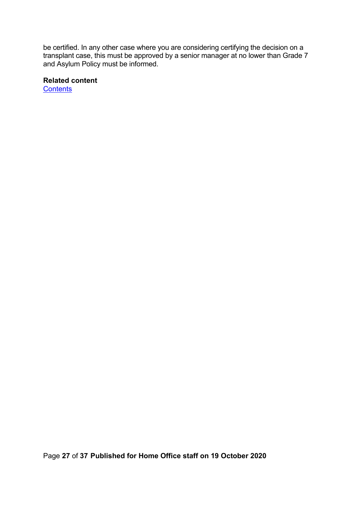be certified. In any other case where you are considering certifying the decision on a transplant case, this must be approved by a senior manager at no lower than Grade 7 and Asylum Policy must be informed.

#### **Related content**

**[Contents](#page-1-0)**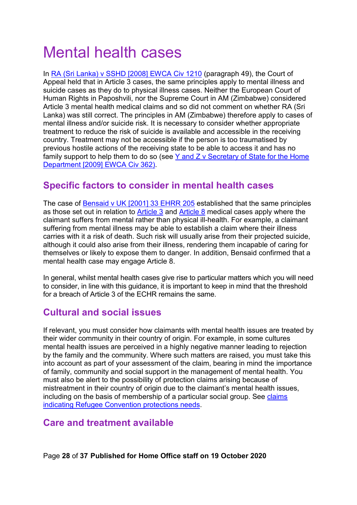# <span id="page-27-0"></span>Mental health cases

In [RA \(Sri Lanka\) v SSHD](https://www.bailii.org/ew/cases/EWCA/Civ/2008/1210.html) [2008] EWCA Civ 1210 (paragraph 49), the Court of Appeal held that in Article 3 cases, the same principles apply to mental illness and suicide cases as they do to physical illness cases. Neither the European Court of Human Rights in Paposhvili, nor the Supreme Court in AM (Zimbabwe) considered Article 3 mental health medical claims and so did not comment on whether RA (Sri Lanka) was still correct. The principles in AM (Zimbabwe) therefore apply to cases of mental illness and/or suicide risk. It is necessary to consider whether appropriate treatment to reduce the risk of suicide is available and accessible in the receiving country. Treatment may not be accessible if the person is too traumatised by previous hostile actions of the receiving state to be able to access it and has no family support to help them to do so (see Y and Z v Secretary of State for the Home [Department \[2009\] EWCA Civ 362\)](https://www.bailii.org/ew/cases/EWCA/Civ/2009/362.html).

# <span id="page-27-1"></span>**Specific factors to consider in mental health cases**

The case of [Bensaid v UK \[2001\] 33 EHRR 205](http://www.bailii.org/cgi-bin/markup.cgi?doc=/eu/cases/ECHR/2001/82.html&query=bensaid&method=boolean) established that the same principles as those set out in relation to [Article 3](#page-16-1) and [Article 8](#page-21-2) medical cases apply where the claimant suffers from mental rather than physical ill-health. For example, a claimant suffering from mental illness may be able to establish a claim where their illness carries with it a risk of death. Such risk will usually arise from their projected suicide, although it could also arise from their illness, rendering them incapable of caring for themselves or likely to expose them to danger. In addition, Bensaid confirmed that a mental health case may engage Article 8.

In general, whilst mental health cases give rise to particular matters which you will need to consider, in line with this guidance, it is important to keep in mind that the threshold for a breach of Article 3 of the ECHR remains the same.

## <span id="page-27-2"></span>**Cultural and social issues**

If relevant, you must consider how claimants with mental health issues are treated by their wider community in their country of origin. For example, in some cultures mental health issues are perceived in a highly negative manner leading to rejection by the family and the community. Where such matters are raised, you must take this into account as part of your assessment of the claim, bearing in mind the importance of family, community and social support in the management of mental health. You must also be alert to the possibility of protection claims arising because of mistreatment in their country of origin due to the claimant's mental health issues, including on the basis of membership of a particular social group. See [claims](#page-13-2)  [indicating Refugee Convention protections needs.](#page-13-2)

## <span id="page-27-3"></span>**Care and treatment available**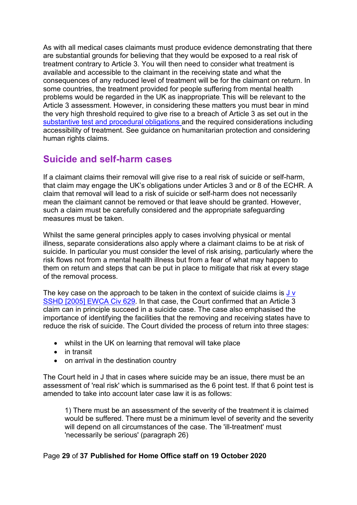As with all medical cases claimants must produce evidence demonstrating that there are substantial grounds for believing that they would be exposed to a real risk of treatment contrary to Article 3. You will then need to consider what treatment is available and accessible to the claimant in the receiving state and what the consequences of any reduced level of treatment will be for the claimant on return. In some countries, the treatment provided for people suffering from mental health problems would be regarded in the UK as inappropriate. This will be relevant to the Article 3 assessment. However, in considering these matters you must bear in mind the very high threshold required to give rise to a breach of Article 3 as set out in the [substantive test and procedural obligations](#page-17-0) and the required considerations including accessibility of treatment. See guidance on humanitarian protection and considering human rights claims.

# <span id="page-28-0"></span>**Suicide and self-harm cases**

If a claimant claims their removal will give rise to a real risk of suicide or self-harm, that claim may engage the UK's obligations under Articles 3 and or 8 of the ECHR. A claim that removal will lead to a risk of suicide or self-harm does not necessarily mean the claimant cannot be removed or that leave should be granted. However, such a claim must be carefully considered and the appropriate safeguarding measures must be taken.

Whilst the same general principles apply to cases involving physical or mental illness, separate considerations also apply where a claimant claims to be at risk of suicide. In particular you must consider the level of risk arising, particularly where the risk flows not from a mental health illness but from a fear of what may happen to them on return and steps that can be put in place to mitigate that risk at every stage of the removal process.

The key case on the approach to be taken in the context of suicide claims is  $Jv$ [SSHD \[2005\] EWCA Civ 629.](http://www.bailii.org/ew/cases/EWCA/Civ/2005/629.html) In that case, the Court confirmed that an Article 3 claim can in principle succeed in a suicide case. The case also emphasised the importance of identifying the facilities that the removing and receiving states have to reduce the risk of suicide. The Court divided the process of return into three stages:

- whilst in the UK on learning that removal will take place
- in transit
- on arrival in the destination country

The Court held in J that in cases where suicide may be an issue, there must be an assessment of 'real risk' which is summarised as the 6 point test. If that 6 point test is amended to take into account later case law it is as follows:

1) There must be an assessment of the severity of the treatment it is claimed would be suffered. There must be a minimum level of severity and the severity will depend on all circumstances of the case. The 'ill-treatment' must 'necessarily be serious' (paragraph 26)

### Page **29** of **37 Published for Home Office staff on 19 October 2020**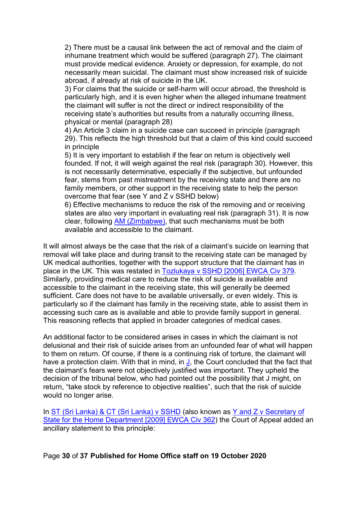2) There must be a causal link between the act of removal and the claim of inhumane treatment which would be suffered (paragraph 27). The claimant must provide medical evidence. Anxiety or depression, for example, do not necessarily mean suicidal. The claimant must show increased risk of suicide abroad, if already at risk of suicide in the UK.

3) For claims that the suicide or self-harm will occur abroad, the threshold is particularly high, and it is even higher when the alleged inhumane treatment the claimant will suffer is not the direct or indirect responsibility of the receiving state's authorities but results from a naturally occurring illness, physical or mental (paragraph 28)

4) An Article 3 claim in a suicide case can succeed in principle (paragraph 29). This reflects the high threshold but that a claim of this kind could succeed in principle

5) It is very important to establish if the fear on return is objectively well founded. If not, it will weigh against the real risk (paragraph 30). However, this is not necessarily determinative, especially if the subjective, but unfounded fear, stems from past mistreatment by the receiving state and there are no family members, or other support in the receiving state to help the person overcome that fear (see Y and Z v SSHD below)

6) Effective mechanisms to reduce the risk of the removing and or receiving states are also very important in evaluating real risk (paragraph 31). It is now clear, following [AM \(Zimbabwe\),](https://www.supremecourt.uk/cases/docs/uksc-2018-0048-judgment.pdf) that such mechanisms must be both available and accessible to the claimant.

It will almost always be the case that the risk of a claimant's suicide on learning that removal will take place and during transit to the receiving state can be managed by UK medical authorities, together with the support structure that the claimant has in place in the UK. This was restated in [Tozlukaya v SSHD \[2006\] EWCA Civ 379.](http://www.refworld.org/pdfid/4721c8412.pdf) Similarly, providing medical care to reduce the risk of suicide is available and accessible to the claimant in the receiving state, this will generally be deemed sufficient. Care does not have to be available universally, or even widely. This is particularly so if the claimant has family in the receiving state, able to assist them in accessing such care as is available and able to provide family support in general. This reasoning reflects that applied in broader categories of medical cases.

An additional factor to be considered arises in cases in which the claimant is not delusional and their risk of suicide arises from an unfounded fear of what will happen to them on return. Of course, if there is a continuing risk of torture, the claimant will have a protection claim. With that in mind, in  $J$ , the Court concluded that the fact that the claimant's fears were not objectively justified was important. They upheld the decision of the tribunal below, who had pointed out the possibility that J might, on return, "take stock by reference to objective realities", such that the risk of suicide would no longer arise.

In [ST \(Sri Lanka\) & CT \(Sri Lanka\) v SSHD](http://www.bailii.org/ew/cases/EWCA/Civ/2009/362.html) (also known as Y and Z v Secretary of [State for the Home Department \[2009\] EWCA Civ 362\)](https://www.bailii.org/ew/cases/EWCA/Civ/2009/362.html) the Court of Appeal added an ancillary statement to this principle:

Page **30** of **37 Published for Home Office staff on 19 October 2020**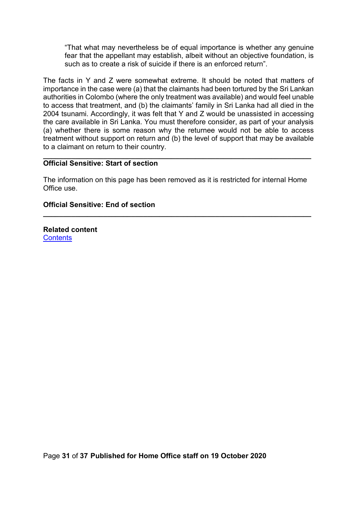"That what may nevertheless be of equal importance is whether any genuine fear that the appellant may establish, albeit without an objective foundation, is such as to create a risk of suicide if there is an enforced return"

The facts in Y and Z were somewhat extreme. It should be noted that matters of importance in the case were (a) that the claimants had been tortured by the Sri Lankan authorities in Colombo (where the only treatment was available) and would feel unable to access that treatment, and (b) the claimants' family in Sri Lanka had all died in the 2004 tsunami. Accordingly, it was felt that Y and Z would be unassisted in accessing the care available in Sri Lanka. You must therefore consider, as part of your analysis (a) whether there is some reason why the returnee would not be able to access treatment without support on return and (b) the level of support that may be available to a claimant on return to their country.

#### **\_\_\_\_\_\_\_\_\_\_\_\_\_\_\_\_\_\_\_\_\_\_\_\_\_\_\_\_\_\_\_\_\_\_\_\_\_\_\_\_\_\_\_\_\_\_\_\_\_\_\_\_\_\_\_\_\_\_\_\_\_\_\_\_\_\_\_ Official Sensitive: Start of section**

The information on this page has been removed as it is restricted for internal Home Office use.

**\_\_\_\_\_\_\_\_\_\_\_\_\_\_\_\_\_\_\_\_\_\_\_\_\_\_\_\_\_\_\_\_\_\_\_\_\_\_\_\_\_\_\_\_\_\_\_\_\_\_\_\_\_\_\_\_\_\_\_\_\_\_\_\_\_\_\_**

#### **Official Sensitive: End of section**

**Related content [Contents](#page-1-0)**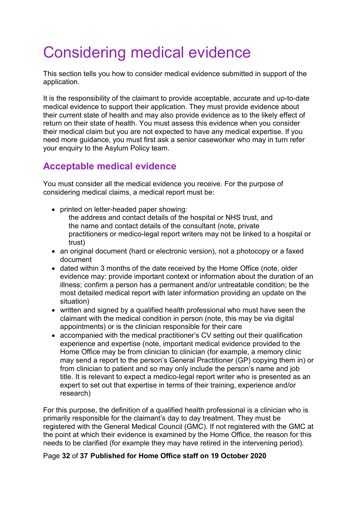# <span id="page-31-0"></span>Considering medical evidence

This section tells you how to consider medical evidence submitted in support of the application.

It is the responsibility of the claimant to provide acceptable, accurate and up-to-date medical evidence to support their application. They must provide evidence about their current state of health and may also provide evidence as to the likely effect of return on their state of health. You must assess this evidence when you consider their medical claim but you are not expected to have any medical expertise. If you need more guidance, you must first ask a senior caseworker who may in turn refer your enquiry to the Asylum Policy team.

# <span id="page-31-1"></span>**Acceptable medical evidence**

You must consider all the medical evidence you receive. For the purpose of considering medical claims, a medical report must be:

- printed on letter-headed paper showing:
	- the address and contact details of the hospital or NHS trust, and the name and contact details of the consultant (note, private practitioners or medico-legal report writers may not be linked to a hospital or trust)
- an original document (hard or electronic version), not a photocopy or a faxed document
- dated within 3 months of the date received by the Home Office (note, older evidence may: provide important context or information about the duration of an illness; confirm a person has a permanent and/or untreatable condition; be the most detailed medical report with later information providing an update on the situation)
- written and signed by a qualified health professional who must have seen the claimant with the medical condition in person (note, this may be via digital appointments) or is the clinician responsible for their care
- accompanied with the medical practitioner's CV setting out their qualification experience and expertise (note, important medical evidence provided to the Home Office may be from clinician to clinician (for example, a memory clinic may send a report to the person's General Practitioner (GP) copying them in) or from clinician to patient and so may only include the person's name and job title. It is relevant to expect a medico-legal report writer who is presented as an expert to set out that expertise in terms of their training, experience and/or research)

For this purpose, the definition of a qualified health professional is a clinician who is primarily responsible for the claimant's day to day treatment. They must be registered with the General Medical Council (GMC). If not registered with the GMC at the point at which their evidence is examined by the Home Office, the reason for this needs to be clarified (for example they may have retired in the intervening period).

### Page **32** of **37 Published for Home Office staff on 19 October 2020**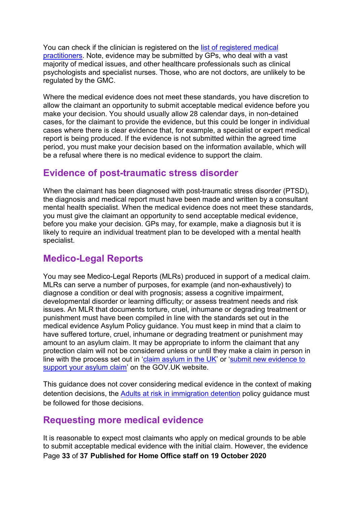You can check if the clinician is registered on the [list of registered medical](http://www.gmc-uk.org/doctors/register/LRMP.asp)  [practitioners.](http://www.gmc-uk.org/doctors/register/LRMP.asp) Note, evidence may be submitted by GPs, who deal with a vast majority of medical issues, and other healthcare professionals such as clinical psychologists and specialist nurses. Those, who are not doctors, are unlikely to be regulated by the GMC.

Where the medical evidence does not meet these standards, you have discretion to allow the claimant an opportunity to submit acceptable medical evidence before you make your decision. You should usually allow 28 calendar days, in non-detained cases, for the claimant to provide the evidence, but this could be longer in individual cases where there is clear evidence that, for example, a specialist or expert medical report is being produced. If the evidence is not submitted within the agreed time period, you must make your decision based on the information available, which will be a refusal where there is no medical evidence to support the claim.

# <span id="page-32-0"></span>**Evidence of post-traumatic stress disorder**

When the claimant has been diagnosed with post-traumatic stress disorder (PTSD), the diagnosis and medical report must have been made and written by a consultant mental health specialist. When the medical evidence does not meet these standards, you must give the claimant an opportunity to send acceptable medical evidence, before you make your decision. GPs may, for example, make a diagnosis but it is likely to require an individual treatment plan to be developed with a mental health specialist.

# <span id="page-32-1"></span>**Medico-Legal Reports**

You may see Medico-Legal Reports (MLRs) produced in support of a medical claim. MLRs can serve a number of purposes, for example (and non-exhaustively) to diagnose a condition or deal with prognosis; assess a cognitive impairment, developmental disorder or learning difficulty; or assess treatment needs and risk issues. An MLR that documents torture, cruel, inhumane or degrading treatment or punishment must have been compiled in line with the standards set out in the medical evidence Asylum Policy guidance. You must keep in mind that a claim to have suffered torture, cruel, inhumane or degrading treatment or punishment may amount to an asylum claim. It may be appropriate to inform the claimant that any protection claim will not be considered unless or until they make a claim in person in line with the process set out in ['claim asylum in the UK'](https://www.gov.uk/claim-asylum) or ['submit new evidence to](https://www.gov.uk/submit-new-evidence-asylum-claim)  [support your asylum claim'](https://www.gov.uk/submit-new-evidence-asylum-claim) on the GOV.UK website.

This guidance does not cover considering medical evidence in the context of making detention decisions, the [Adults at risk in immigration detention](https://www.gov.uk/government/publications/adults-at-risk-in-immigration-detention) policy guidance must be followed for those decisions.

# <span id="page-32-2"></span>**Requesting more medical evidence**

Page **33** of **37 Published for Home Office staff on 19 October 2020** It is reasonable to expect most claimants who apply on medical grounds to be able to submit acceptable medical evidence with the initial claim. However, the evidence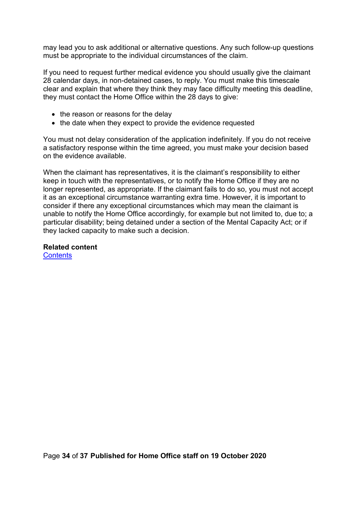may lead you to ask additional or alternative questions. Any such follow-up questions must be appropriate to the individual circumstances of the claim.

If you need to request further medical evidence you should usually give the claimant 28 calendar days, in non-detained cases, to reply. You must make this timescale clear and explain that where they think they may face difficulty meeting this deadline, they must contact the Home Office within the 28 days to give:

- the reason or reasons for the delay
- the date when they expect to provide the evidence requested

You must not delay consideration of the application indefinitely. If you do not receive a satisfactory response within the time agreed, you must make your decision based on the evidence available.

When the claimant has representatives, it is the claimant's responsibility to either keep in touch with the representatives, or to notify the Home Office if they are no longer represented, as appropriate. If the claimant fails to do so, you must not accept it as an exceptional circumstance warranting extra time. However, it is important to consider if there any exceptional circumstances which may mean the claimant is unable to notify the Home Office accordingly, for example but not limited to, due to; a particular disability; being detained under a section of the Mental Capacity Act; or if they lacked capacity to make such a decision.

**Related content [Contents](#page-1-0)**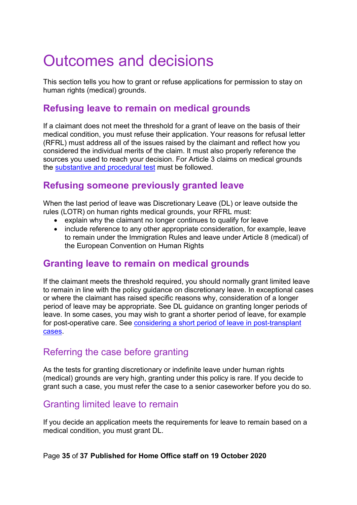# <span id="page-34-0"></span>Outcomes and decisions

This section tells you how to grant or refuse applications for permission to stay on human rights (medical) grounds.

# <span id="page-34-1"></span>**Refusing leave to remain on medical grounds**

If a claimant does not meet the threshold for a grant of leave on the basis of their medical condition, you must refuse their application. Your reasons for refusal letter (RFRL) must address all of the issues raised by the claimant and reflect how you considered the individual merits of the claim. It must also properly reference the sources you used to reach your decision. For Article 3 claims on medical grounds the [substantive and procedural test](#page-17-0) must be followed.

# <span id="page-34-2"></span>**Refusing someone previously granted leave**

When the last period of leave was Discretionary Leave (DL) or leave outside the rules (LOTR) on human rights medical grounds, your RFRL must:

- explain why the claimant no longer continues to qualify for leave
- include reference to any other appropriate consideration, for example, leave to remain under the Immigration Rules and leave under Article 8 (medical) of the European Convention on Human Rights

## <span id="page-34-3"></span>**Granting leave to remain on medical grounds**

If the claimant meets the threshold required, you should normally grant limited leave to remain in line with the policy guidance on discretionary leave. In exceptional cases or where the claimant has raised specific reasons why, consideration of a longer period of leave may be appropriate. See DL guidance on granting longer periods of leave. In some cases, you may wish to grant a shorter period of leave, for example for post-operative care. See [considering a short period of leave in post-transplant](#page-25-1) [cases.](#page-25-1)

## <span id="page-34-4"></span>Referring the case before granting

As the tests for granting discretionary or indefinite leave under human rights (medical) grounds are very high, granting under this policy is rare. If you decide to grant such a case, you must refer the case to a senior caseworker before you do so.

## <span id="page-34-5"></span>Granting limited leave to remain

If you decide an application meets the requirements for leave to remain based on a medical condition, you must grant DL.

### Page **35** of **37 Published for Home Office staff on 19 October 2020**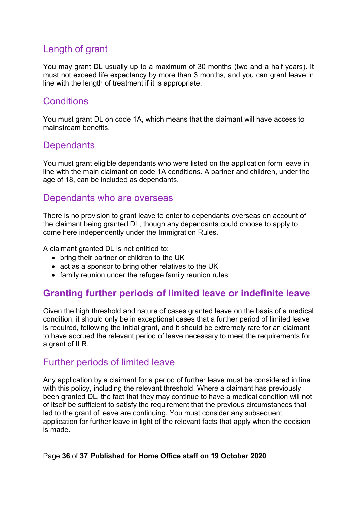# <span id="page-35-0"></span>Length of grant

You may grant DL usually up to a maximum of 30 months (two and a half years). It must not exceed life expectancy by more than 3 months, and you can grant leave in line with the length of treatment if it is appropriate.

## <span id="page-35-1"></span>**Conditions**

You must grant DL on code 1A, which means that the claimant will have access to mainstream benefits.

## <span id="page-35-2"></span>**Dependants**

You must grant eligible dependants who were listed on the application form leave in line with the main claimant on code 1A conditions. A partner and children, under the age of 18, can be included as dependants.

### <span id="page-35-3"></span>Dependants who are overseas

There is no provision to grant leave to enter to dependants overseas on account of the claimant being granted DL, though any dependants could choose to apply to come here independently under the Immigration Rules.

A claimant granted DL is not entitled to:

- bring their partner or children to the UK
- act as a sponsor to bring other relatives to the UK
- family reunion under the refugee family reunion rules

## <span id="page-35-4"></span>**Granting further periods of limited leave or indefinite leave**

Given the high threshold and nature of cases granted leave on the basis of a medical condition, it should only be in exceptional cases that a further period of limited leave is required, following the initial grant, and it should be extremely rare for an claimant to have accrued the relevant period of leave necessary to meet the requirements for a grant of ILR.

## <span id="page-35-5"></span>Further periods of limited leave

Any application by a claimant for a period of further leave must be considered in line with this policy, including the relevant threshold. Where a claimant has previously been granted DL, the fact that they may continue to have a medical condition will not of itself be sufficient to satisfy the requirement that the previous circumstances that led to the grant of leave are continuing. You must consider any subsequent application for further leave in light of the relevant facts that apply when the decision is made.

### Page **36** of **37 Published for Home Office staff on 19 October 2020**